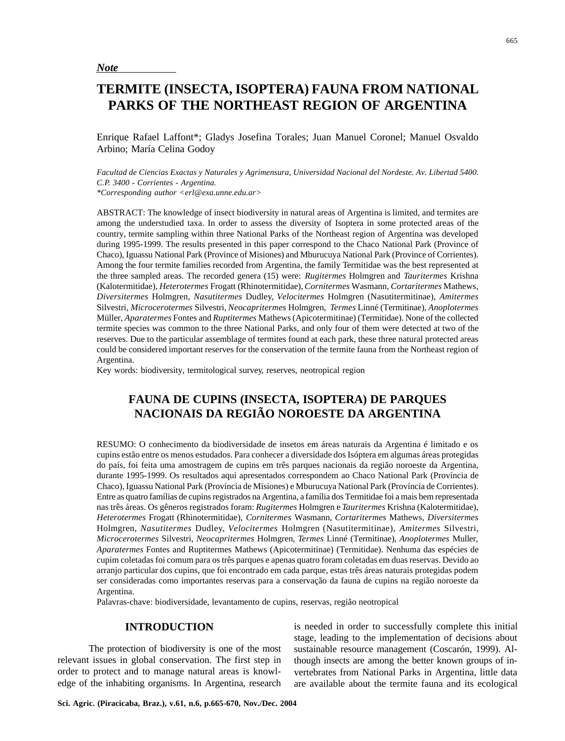*Note*

# **TERMITE (INSECTA, ISOPTERA) FAUNA FROM NATIONAL PARKS OF THE NORTHEAST REGION OF ARGENTINA**

Enrique Rafael Laffont\*; Gladys Josefina Torales; Juan Manuel Coronel; Manuel Osvaldo Arbino; María Celina Godoy

*Facultad de Ciencias Exactas y Naturales y Agrimensura, Universidad Nacional del Nordeste. Av. Libertad 5400. C.P. 3400 - Corrientes - Argentina. \*Corresponding author <erl@exa.unne.edu.ar>*

ABSTRACT: The knowledge of insect biodiversity in natural areas of Argentina is limited, and termites are among the understudied taxa. In order to assess the diversity of Isoptera in some protected areas of the country, termite sampling within three National Parks of the Northeast region of Argentina was developed during 1995-1999. The results presented in this paper correspond to the Chaco National Park (Province of Chaco), Iguassu National Park (Province of Misiones) and Mburucuya National Park (Province of Corrientes). Among the four termite families recorded from Argentina, the family Termitidae was the best represented at the three sampled areas. The recorded genera (15) were: *Rugitermes* Holmgren and *Tauritermes* Krishna (Kalotermitidae), *Heterotermes* Frogatt (Rhinotermitidae), *Cornitermes* Wasmann, *Cortaritermes* Mathews, *Diversitermes* Holmgren, *Nasutitermes* Dudley, *Velocitermes* Holmgren (Nasutitermitinae), *Amitermes* Silvestri, *Microcerotermes* Silvestri, *Neocapritermes* Holmgren, *Termes* Linné (Termitinae), *Anoplotermes* Müller, *Aparatermes* Fontes and *Ruptitermes* Mathews (Apicotermitinae) (Termitidae). None of the collected termite species was common to the three National Parks, and only four of them were detected at two of the reserves. Due to the particular assemblage of termites found at each park, these three natural protected areas could be considered important reserves for the conservation of the termite fauna from the Northeast region of Argentina.

Key words: biodiversity, termitological survey, reserves, neotropical region

# **FAUNA DE CUPINS (INSECTA, ISOPTERA) DE PARQUES NACIONAIS DA REGIÃO NOROESTE DA ARGENTINA**

RESUMO: O conhecimento da biodiversidade de insetos em áreas naturais da Argentina é limitado e os cupins estão entre os menos estudados. Para conhecer a diversidade dos Isóptera em algumas áreas protegidas do país, foi feita uma amostragem de cupins em três parques nacionais da região noroeste da Argentina, durante 1995-1999. Os resultados aqui apresentados correspondem ao Chaco National Park (Província de Chaco), Iguassu National Park (Província de Misiones) e Mburucuya National Park (Província de Corrientes). Entre as quatro famílias de cupins registrados na Argentina, a família dos Termitidae foi a mais bem representada nas três áreas. Os gêneros registrados foram: *Rugitermes* Holmgren e *Tauritermes* Krishna (Kalotermitidae), *Heterotermes* Frogatt (Rhinotermitidae), *Cornitermes* Wasmann, *Cortaritermes* Mathews, *Diversitermes* Holmgren, *Nasutitermes* Dudley, *Velocitermes* Holmgren (Nasutitermitinae), *Amitermes* Silvestri, *Microcerotermes* Silvestri, *Neocapritermes* Holmgren, *Termes* Linné (Termitinae), *Anoplotermes* Muller, *Aparatermes* Fontes and Ruptitermes Mathews (Apicotermitinae) (Termitidae). Nenhuma das espécies de cupim coletadas foi comum para os três parques e apenas quatro foram coletadas em duas reservas. Devido ao arranjo particular dos cupins, que foi encontrado em cada parque, estas três áreas naturais protegidas podem ser consideradas como importantes reservas para a conservação da fauna de cupins na região noroeste da Argentina.

Palavras-chave: biodiversidade, levantamento de cupins, reservas, região neotropical

## **INTRODUCTION**

The protection of biodiversity is one of the most relevant issues in global conservation. The first step in order to protect and to manage natural areas is knowledge of the inhabiting organisms. In Argentina, research is needed in order to successfully complete this initial stage, leading to the implementation of decisions about sustainable resource management (Coscarón, 1999). Although insects are among the better known groups of invertebrates from National Parks in Argentina, little data are available about the termite fauna and its ecological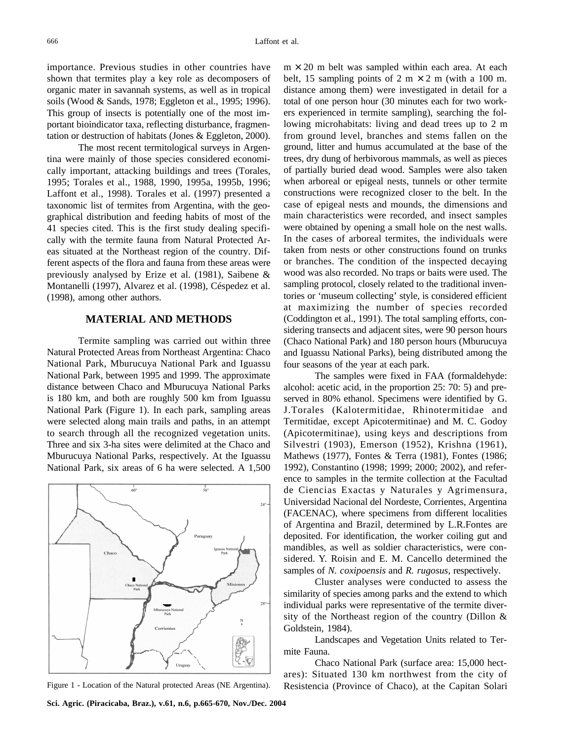importance. Previous studies in other countries have shown that termites play a key role as decomposers of organic mater in savannah systems, as well as in tropical soils (Wood & Sands, 1978; Eggleton et al., 1995; 1996). This group of insects is potentially one of the most important bioindicator taxa, reflecting disturbance, fragmentation or destruction of habitats (Jones & Eggleton, 2000).

The most recent termitological surveys in Argentina were mainly of those species considered economically important, attacking buildings and trees (Torales, 1995; Torales et al., 1988, 1990, 1995a, 1995b, 1996; Laffont et al., 1998). Torales et al. (1997) presented a taxonomic list of termites from Argentina, with the geographical distribution and feeding habits of most of the 41 species cited. This is the first study dealing specifically with the termite fauna from Natural Protected Areas situated at the Northeast region of the country. Different aspects of the flora and fauna from these areas were previously analysed by Erize et al. (1981), Saibene & Montanelli (1997), Alvarez et al. (1998), Céspedez et al. (1998), among other authors.

#### **MATERIAL AND METHODS**

Termite sampling was carried out within three Natural Protected Areas from Northeast Argentina: Chaco National Park, Mburucuya National Park and Iguassu National Park, between 1995 and 1999. The approximate distance between Chaco and Mburucuya National Parks is 180 km, and both are roughly 500 km from Iguassu National Park (Figure 1). In each park, sampling areas were selected along main trails and paths, in an attempt to search through all the recognized vegetation units. Three and six 3-ha sites were delimited at the Chaco and Mburucuya National Parks, respectively. At the Iguassu National Park, six areas of 6 ha were selected. A 1,500



 $m \times 20$  m belt was sampled within each area. At each belt, 15 sampling points of 2 m  $\times$  2 m (with a 100 m. distance among them) were investigated in detail for a total of one person hour (30 minutes each for two workers experienced in termite sampling), searching the following microhabitats: living and dead trees up to 2 m from ground level, branches and stems fallen on the ground, litter and humus accumulated at the base of the trees, dry dung of herbivorous mammals, as well as pieces of partially buried dead wood. Samples were also taken when arboreal or epigeal nests, tunnels or other termite constructions were recognized closer to the belt. In the case of epigeal nests and mounds, the dimensions and main characteristics were recorded, and insect samples were obtained by opening a small hole on the nest walls. In the cases of arboreal termites, the individuals were taken from nests or other constructions found on trunks or branches. The condition of the inspected decaying wood was also recorded. No traps or baits were used. The sampling protocol, closely related to the traditional inventories or 'museum collecting' style, is considered efficient at maximizing the number of species recorded (Coddington et al., 1991). The total sampling efforts, considering transects and adjacent sites, were 90 person hours (Chaco National Park) and 180 person hours (Mburucuya and Iguassu National Parks), being distributed among the four seasons of the year at each park.

The samples were fixed in FAA (formaldehyde: alcohol: acetic acid, in the proportion 25: 70: 5) and preserved in 80% ethanol. Specimens were identified by G. J.Torales (Kalotermitidae, Rhinotermitidae and Termitidae, except Apicotermitinae) and M. C. Godoy (Apicotermitinae), using keys and descriptions from Silvestri (1903), Emerson (1952), Krishna (1961), Mathews (1977), Fontes & Terra (1981), Fontes (1986; 1992), Constantino (1998; 1999; 2000; 2002), and reference to samples in the termite collection at the Facultad de Ciencias Exactas y Naturales y Agrimensura, Universidad Nacional del Nordeste, Corrientes, Argentina (FACENAC), where specimens from different localities of Argentina and Brazil, determined by L.R.Fontes are deposited. For identification, the worker coiling gut and mandibles, as well as soldier characteristics, were considered. Y. Roisin and E. M. Cancello determined the samples of *N. coxipoensis* and *R. rugosus*, respectively.

Cluster analyses were conducted to assess the similarity of species among parks and the extend to which individual parks were representative of the termite diversity of the Northeast region of the country (Dillon & Goldstein, 1984).

Landscapes and Vegetation Units related to Termite Fauna.

Chaco National Park (surface area: 15,000 hectares): Situated 130 km northwest from the city of Figure 1 - Location of the Natural protected Areas (NE Argentina). Resistencia (Province of Chaco), at the Capitan Solari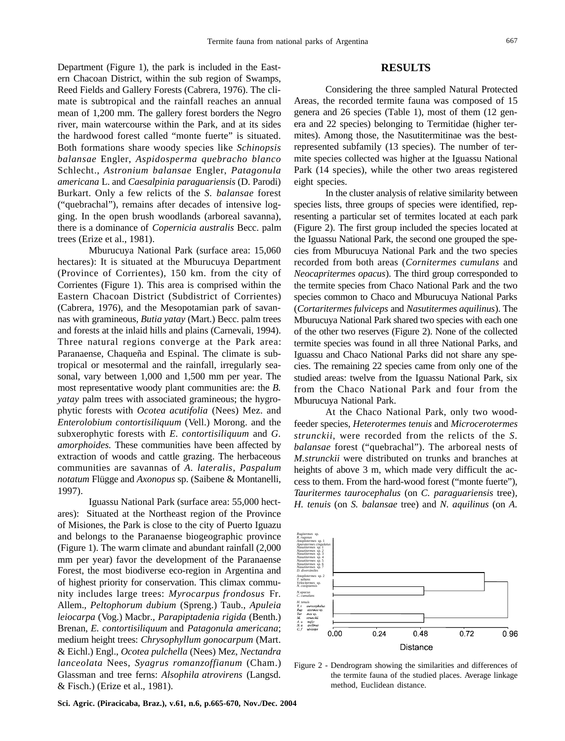Department (Figure 1), the park is included in the Eastern Chacoan District, within the sub region of Swamps, Reed Fields and Gallery Forests (Cabrera, 1976). The climate is subtropical and the rainfall reaches an annual mean of 1,200 mm. The gallery forest borders the Negro river, main watercourse within the Park, and at its sides the hardwood forest called "monte fuerte" is situated. Both formations share woody species like *Schinopsis balansae* Engler, *Aspidosperma quebracho blanco* Schlecht., *Astronium balansae* Engler, *Patagonula americana* L. and *Caesalpinia paraguariensis* (D. Parodi) Burkart. Only a few relicts of the *S. balansae* forest ("quebrachal"), remains after decades of intensive logging. In the open brush woodlands (arboreal savanna), there is a dominance of *Copernicia australis* Becc. palm

trees (Erize et al., 1981). Mburucuya National Park (surface area: 15,060 hectares): It is situated at the Mburucuya Department (Province of Corrientes), 150 km. from the city of Corrientes (Figure 1). This area is comprised within the Eastern Chacoan District (Subdistrict of Corrientes) (Cabrera, 1976), and the Mesopotamian park of savannas with gramineous, *Butia yatay* (Mart.) Becc. palm trees and forests at the inlaid hills and plains (Carnevali, 1994). Three natural regions converge at the Park area: Paranaense, Chaqueña and Espinal. The climate is subtropical or mesotermal and the rainfall, irregularly seasonal, vary between 1,000 and 1,500 mm per year. The most representative woody plant communities are: the *B. yatay* palm trees with associated gramineous; the hygrophytic forests with *Ocotea acutifolia* (Nees) Mez. and *Enterolobium contortisiliquum* (Vell.) Morong. and the subxerophytic forests with *E. contortisiliquum* and *G. amorphoides.* These communities have been affected by extraction of woods and cattle grazing. The herbaceous communities are savannas of *A. lateralis*, *Paspalum notatum* Flügge and *Axonopus* sp. (Saibene & Montanelli, 1997).

Iguassu National Park (surface area: 55,000 hectares): Situated at the Northeast region of the Province of Misiones, the Park is close to the city of Puerto Iguazu and belongs to the Paranaense biogeographic province (Figure 1). The warm climate and abundant rainfall (2,000 mm per year) favor the development of the Paranaense Forest, the most biodiverse eco-region in Argentina and of highest priority for conservation. This climax community includes large trees: *Myrocarpus frondosus* Fr. Allem., *Peltophorum dubium* (Spreng.) Taub., *Apuleia leiocarpa* (Vog.) Macbr., *Parapiptadenia rigida* (Benth.) Brenan, *E. contortisiliquum* and *Patagonula americana*; medium height trees: *Chrysophyllum gonocarpum* (Mart. & Eichl.) Engl., *Ocotea pulchella* (Nees) Mez, *Nectandra lanceolata* Nees, *Syagrus romanzoffianum* (Cham.) Glassman and tree ferns: *Alsophila atrovirens* (Langsd. & Fisch.) (Erize et al., 1981).

Considering the three sampled Natural Protected Areas, the recorded termite fauna was composed of 15 genera and 26 species (Table 1), most of them (12 genera and 22 species) belonging to Termitidae (higher termites). Among those, the Nasutitermitinae was the bestrepresented subfamily (13 species). The number of termite species collected was higher at the Iguassu National Park (14 species), while the other two areas registered eight species.

In the cluster analysis of relative similarity between species lists, three groups of species were identified, representing a particular set of termites located at each park (Figure 2). The first group included the species located at the Iguassu National Park, the second one grouped the species from Mburucuya National Park and the two species recorded from both areas (*Cornitermes cumulans* and *Neocapritermes opacus*). The third group corresponded to the termite species from Chaco National Park and the two species common to Chaco and Mburucuya National Parks (*Cortaritermes fulviceps* and *Nasutitermes aquilinus*). The Mburucuya National Park shared two species with each one of the other two reserves (Figure 2). None of the collected termite species was found in all three National Parks, and Iguassu and Chaco National Parks did not share any species. The remaining 22 species came from only one of the studied areas: twelve from the Iguassu National Park, six from the Chaco National Park and four from the Mburucuya National Park.

At the Chaco National Park, only two woodfeeder species, *Heterotermes tenuis* and *Microcerotermes strunckii*, were recorded from the relicts of the *S. balansae* forest ("quebrachal"). The arboreal nests of *M.strunckii* were distributed on trunks and branches at heights of above 3 m, which made very difficult the access to them. From the hard-wood forest ("monte fuerte"), *Tauritermes taurocephalus* (on *C. paraguariensis* tree)*, H. tenuis* (on *S. balansae* tree) and *N. aquilinus* (on *A.*



Figure 2 - Dendrogram showing the similarities and differences of the termite fauna of the studied places. Average linkage method, Euclidean distance.

**Sci. Agric. (Piracicaba, Braz.), v.61, n.6, p.665-670, Nov./Dec. 2004**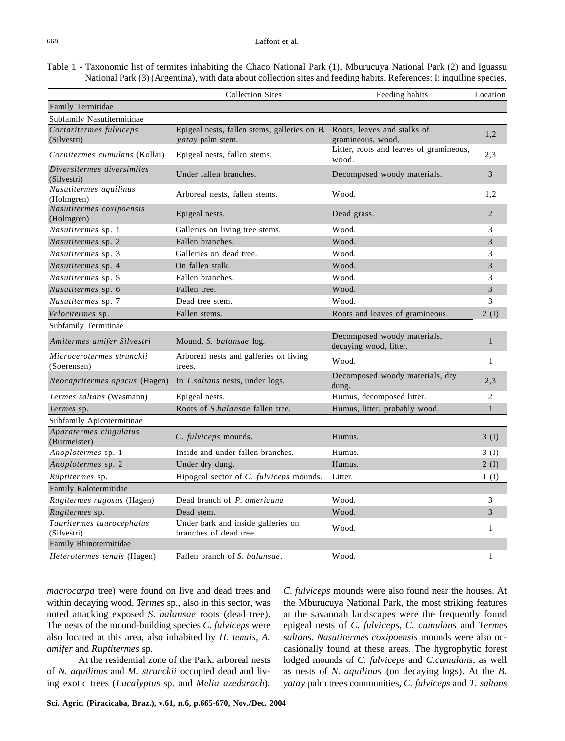Table 1 - Taxonomic list of termites inhabiting the Chaco National Park (1), Mburucuya National Park (2) and Iguassu National Park (3) (Argentina), with data about collection sites and feeding habits. References: I: inquiline species.

|                                           | <b>Collection Sites</b>                                                 | Feeding habits                                        | Location       |
|-------------------------------------------|-------------------------------------------------------------------------|-------------------------------------------------------|----------------|
| Family Termitidae                         |                                                                         |                                                       |                |
| Subfamily Nasutitermitinae                |                                                                         |                                                       |                |
| Cortaritermes fulviceps<br>(Silvestri)    | Epigeal nests, fallen stems, galleries on B.<br><i>vatay</i> palm stem. | Roots, leaves and stalks of<br>gramineous, wood.      | 1,2            |
| Cornitermes cumulans (Kollar)             | Epigeal nests, fallen stems.                                            | Litter, roots and leaves of gramineous,<br>wood.      | 2,3            |
| Diversitermes diversimiles<br>(Silvestri) | Under fallen branches.                                                  | Decomposed woody materials.                           | $\overline{3}$ |
| Nasutitermes aquilinus<br>(Holmgren)      | Arboreal nests, fallen stems.                                           | Wood.                                                 | 1.2            |
| Nasutitermes coxipoensis<br>(Holmgren)    | Epigeal nests.                                                          | Dead grass.                                           | $\overline{2}$ |
| Nasutitermes sp. 1                        | Galleries on living tree stems.                                         | Wood.                                                 | 3              |
| Nasutitermes sp. 2                        | Fallen branches.                                                        | Wood.                                                 | 3              |
| Nasutitermes sp. 3                        | Galleries on dead tree.                                                 | Wood.                                                 | 3              |
| Nasutitermes sp. 4                        | On fallen stalk.                                                        | Wood.                                                 | 3              |
| Nasutitermes sp. 5                        | Fallen branches.                                                        | Wood.                                                 | 3              |
| Nasutitermes sp. 6                        | Fallen tree.                                                            | Wood.                                                 | 3              |
| <i>Nasutitermes</i> sp. 7                 | Dead tree stem.                                                         | Wood.                                                 | 3              |
| Velocitermes sp.                          | Fallen stems.                                                           | Roots and leaves of gramineous.                       | 2(I)           |
| Subfamily Termitinae                      |                                                                         |                                                       |                |
| Amitermes amifer Silvestri                | Mound, S. balansae log.                                                 | Decomposed woody materials,<br>decaying wood, litter. | $\mathbf{1}$   |
| Microcerotermes strunckii<br>(Soerensen)  | Arboreal nests and galleries on living<br>trees.                        | Wood.                                                 | 1              |
| Neocapritermes opacus (Hagen)             | In T.saltans nests, under logs.                                         | Decomposed woody materials, dry<br>dung.              | 2,3            |
| Termes saltans (Wasmann)                  | Epigeal nests.                                                          | Humus, decomposed litter.                             | $\overline{2}$ |
| Termes sp.                                | Roots of S.balansae fallen tree.                                        | Humus, litter, probably wood.                         | $\mathbf{1}$   |
| Subfamily Apicotermitinae                 |                                                                         |                                                       |                |
| Aparatermes cingulatus<br>(Burmeister)    | C. fulviceps mounds.                                                    | Humus.                                                | 3(I)           |
| Anoplotermes sp. 1                        | Inside and under fallen branches.                                       | Humus.                                                | 3(I)           |
| Anoplotermes sp. 2                        | Under dry dung.                                                         | Humus.                                                | 2(I)           |
| Ruptitermes sp.                           | Hipogeal sector of C. fulviceps mounds.                                 | Litter.                                               | 1(I)           |
| Family Kalotermitidae                     |                                                                         |                                                       |                |
| Rugitermes rugosus (Hagen)                | Dead branch of P. americana                                             | Wood.                                                 | 3              |
| Rugitermes sp.                            | Dead stem.                                                              | Wood.                                                 | 3              |
| Tauritermes taurocephalus                 | Under bark and inside galleries on                                      | Wood.                                                 | $\mathbf{1}$   |
| (Silvestri)                               | branches of dead tree.                                                  |                                                       |                |
| Family Rhinotermitidae                    |                                                                         |                                                       |                |
| Heterotermes tenuis (Hagen)               | Fallen branch of S. balansae.                                           | Wood.                                                 | 1              |

*macrocarpa* tree) were found on live and dead trees and within decaying wood. *Termes* sp., also in this sector, was noted attacking exposed *S. balansae* roots (dead tree). The nests of the mound-building species *C. fulviceps* were also located at this area, also inhabited by *H. tenuis, A. amifer* and *Ruptitermes* sp.

At the residential zone of the Park, arboreal nests of *N. aquilinus* and *M. strunckii* occupied dead and living exotic trees (*Eucalyptus* sp. and *Melia azedarach*)*.*

*C. fulviceps* mounds were also found near the houses. At the Mburucuya National Park, the most striking features at the savannah landscapes were the frequently found epigeal nests of *C. fulviceps*, *C. cumulans* and *Termes saltans*. *Nasutitermes coxipoensis* mounds were also occasionally found at these areas. The hygrophytic forest lodged mounds of *C. fulviceps* and *C.cumulans*, as well as nests of *N. aquilinus* (on decaying logs). At the *B. yatay* palm trees communities, *C. fulviceps* and *T. saltans*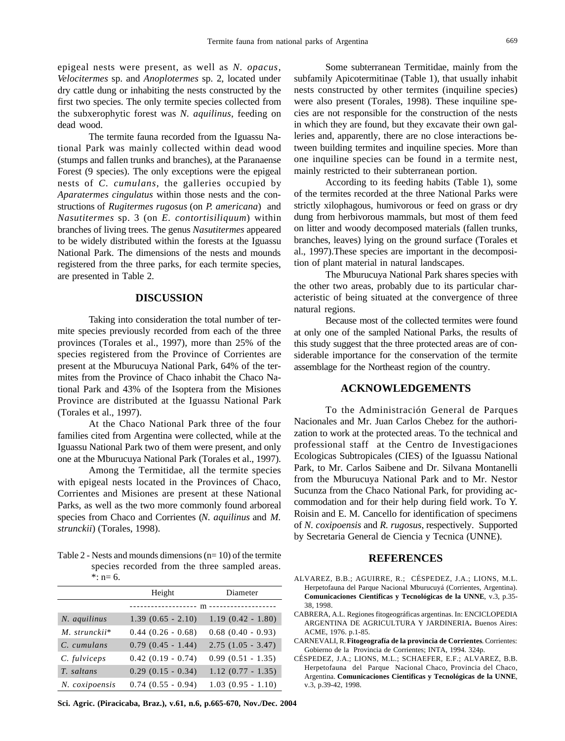epigeal nests were present, as well as *N. opacus*, *Velocitermes* sp. and *Anoplotermes* sp. 2, located under dry cattle dung or inhabiting the nests constructed by the first two species. The only termite species collected from the subxerophytic forest was *N. aquilinus*, feeding on dead wood.

The termite fauna recorded from the Iguassu National Park was mainly collected within dead wood (stumps and fallen trunks and branches), at the Paranaense Forest (9 species). The only exceptions were the epigeal nests of *C. cumulans*, the galleries occupied by *Aparatermes cingulatus* within those nests and the constructions of *Rugitermes rugosus* (on *P. americana*) and *Nasutitermes* sp. 3 (on *E. contortisiliquum*) within branches of living trees. The genus *Nasutitermes* appeared to be widely distributed within the forests at the Iguassu National Park. The dimensions of the nests and mounds registered from the three parks, for each termite species, are presented in Table 2.

### **DISCUSSION**

Taking into consideration the total number of termite species previously recorded from each of the three provinces (Torales et al., 1997), more than 25% of the species registered from the Province of Corrientes are present at the Mburucuya National Park, 64% of the termites from the Province of Chaco inhabit the Chaco National Park and 43% of the Isoptera from the Misiones Province are distributed at the Iguassu National Park (Torales et al., 1997).

At the Chaco National Park three of the four families cited from Argentina were collected, while at the Iguassu National Park two of them were present, and only one at the Mburucuya National Park (Torales et al., 1997).

Among the Termitidae, all the termite species with epigeal nests located in the Provinces of Chaco, Corrientes and Misiones are present at these National Parks, as well as the two more commonly found arboreal species from Chaco and Corrientes (*N. aquilinus* and *M. strunckii*) (Torales, 1998).

Table 2 - Nests and mounds dimensions (n= 10) of the termite species recorded from the three sampled areas.  $\cdot$  : n= 6.

|                | Height                            | Diameter               |
|----------------|-----------------------------------|------------------------|
|                | ------------------- m ----------- |                        |
| N. aquilinus   | $1.39(0.65 - 2.10)$               | $1.19(0.42 - 1.80)$    |
| M. strunckii*  | $0.44$ $(0.26 - 0.68)$            | $0.68$ $(0.40 - 0.93)$ |
| C. cumulans    | $0.79(0.45 - 1.44)$               | $2.75(1.05 - 3.47)$    |
| C. fulviceps   | $0.42(0.19 - 0.74)$               | $0.99(0.51 - 1.35)$    |
| T. saltans     | $0.29(0.15 - 0.34)$               | $1.12(0.77 - 1.35)$    |
| N. coxipoensis | $0.74(0.55 - 0.94)$               | $1.03(0.95 - 1.10)$    |

**Sci. Agric. (Piracicaba, Braz.), v.61, n.6, p.665-670, Nov./Dec. 2004**

Some subterranean Termitidae, mainly from the subfamily Apicotermitinae (Table 1), that usually inhabit nests constructed by other termites (inquiline species) were also present (Torales, 1998). These inquiline species are not responsible for the construction of the nests in which they are found, but they excavate their own galleries and, apparently, there are no close interactions between building termites and inquiline species. More than one inquiline species can be found in a termite nest, mainly restricted to their subterranean portion.

According to its feeding habits (Table 1), some of the termites recorded at the three National Parks were strictly xilophagous, humivorous or feed on grass or dry dung from herbivorous mammals, but most of them feed on litter and woody decomposed materials (fallen trunks, branches, leaves) lying on the ground surface (Torales et al., 1997).These species are important in the decomposition of plant material in natural landscapes.

The Mburucuya National Park shares species with the other two areas, probably due to its particular characteristic of being situated at the convergence of three natural regions.

Because most of the collected termites were found at only one of the sampled National Parks, the results of this study suggest that the three protected areas are of considerable importance for the conservation of the termite assemblage for the Northeast region of the country.

#### **ACKNOWLEDGEMENTS**

To the Administración General de Parques Nacionales and Mr. Juan Carlos Chebez for the authorization to work at the protected areas. To the technical and professional staff at the Centro de Investigaciones Ecologicas Subtropicales (CIES) of the Iguassu National Park, to Mr. Carlos Saibene and Dr. Silvana Montanelli from the Mburucuya National Park and to Mr. Nestor Sucunza from the Chaco National Park, for providing accommodation and for their help during field work. To Y. Roisin and E. M. Cancello for identification of specimens of *N. coxipoensis* and *R. rugosus*, respectively. Supported by Secretaria General de Ciencia y Tecnica (UNNE).

#### **REFERENCES**

- ALVAREZ, B.B.; AGUIRRE, R.; CÉSPEDEZ, J.A.; LIONS, M.L. Herpetofauna del Parque Nacional Mburucuyá (Corrientes, Argentina). **Comunicaciones Cientificas y Tecnológicas de la UNNE**, v.3, p.35- 38, 1998.
- CABRERA, A.L. Regiones fitogeográficas argentinas. In: ENCICLOPEDIA ARGENTINA DE AGRICULTURA Y JARDINERIA**.** Buenos Aires: ACME, 1976. p.1-85.
- CARNEVALI, R. **Fitogeografía de la provincia de Corrientes**. Corrientes: Gobierno de la Provincia de Corrientes; INTA, 1994. 324p.
- CÉSPEDEZ, J.A.; LIONS, M.L.; SCHAEFER, E.F.; ALVAREZ, B.B. Herpetofauna del Parque Nacional Chaco, Provincia del Chaco, Argentina. **Comunicaciones Cientificas y Tecnológicas de la UNNE**, v.3, p.39-42, 1998.